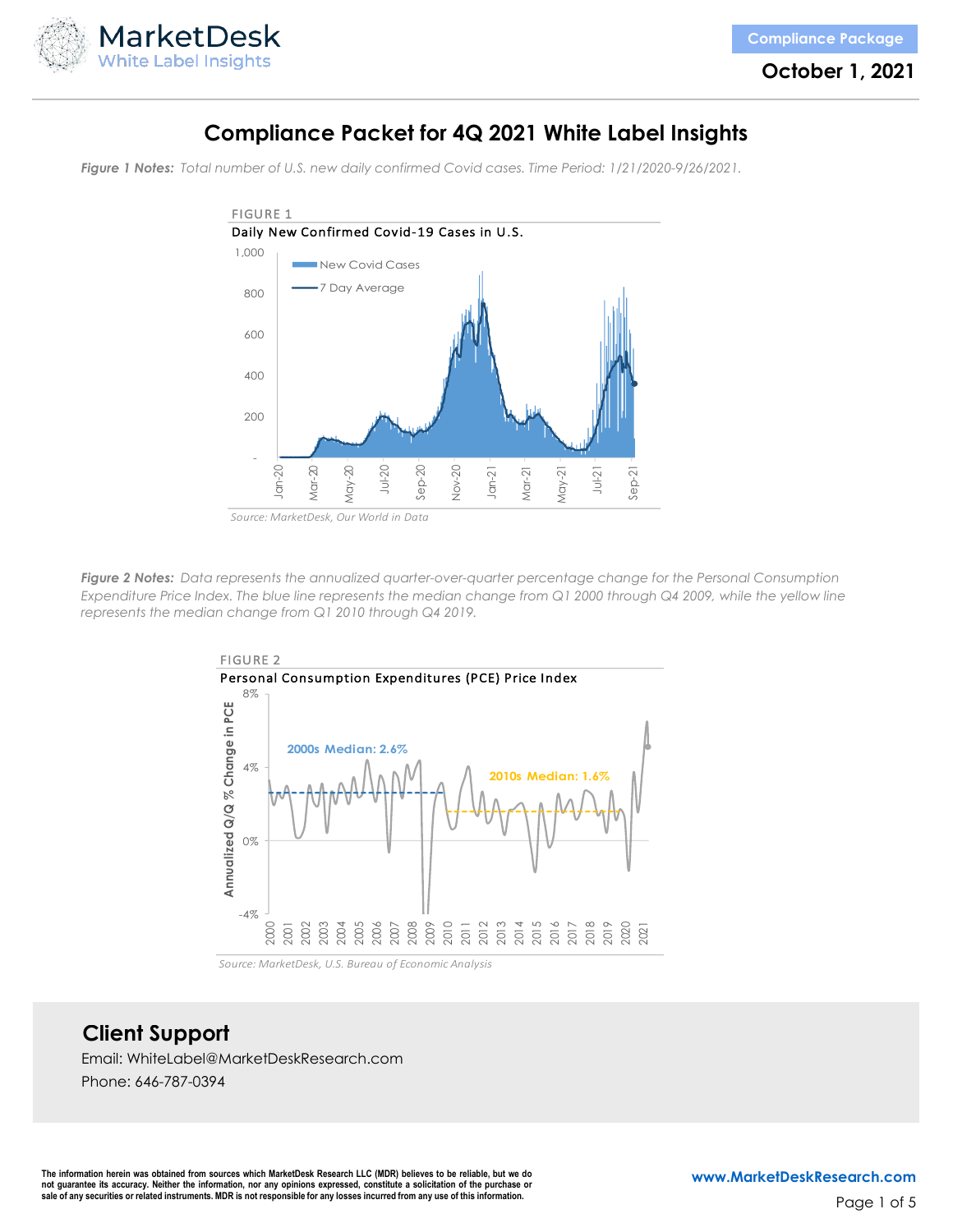

**October 1, 2021**

## **Compliance Packet for 4Q 2021 White Label Insights**

*Figure 1 Notes: Total number of U.S. new daily confirmed Covid cases. Time Period: 1/21/2020-9/26/2021.*



*Figure 2 Notes: Data represents the annualized quarter-over-quarter percentage change for the Personal Consumption Expenditure Price Index. The blue line represents the median change from Q1 2000 through Q4 2009, while the yellow line represents the median change from Q1 2010 through Q4 2019.*



**Client Support**

Email: WhiteLabel@MarketDeskResearch.com

Phone: 646-787-0394

The information herein was obtained from sources which MarketDesk Research LLC (MDR) believes to be reliable, but we do not guarantee its accuracy. Neither the information, nor any opinions expressed, constitute a solicitation of the purchase or<br>sale of any securities or related instruments. MDR is not responsible for any losses incurred fr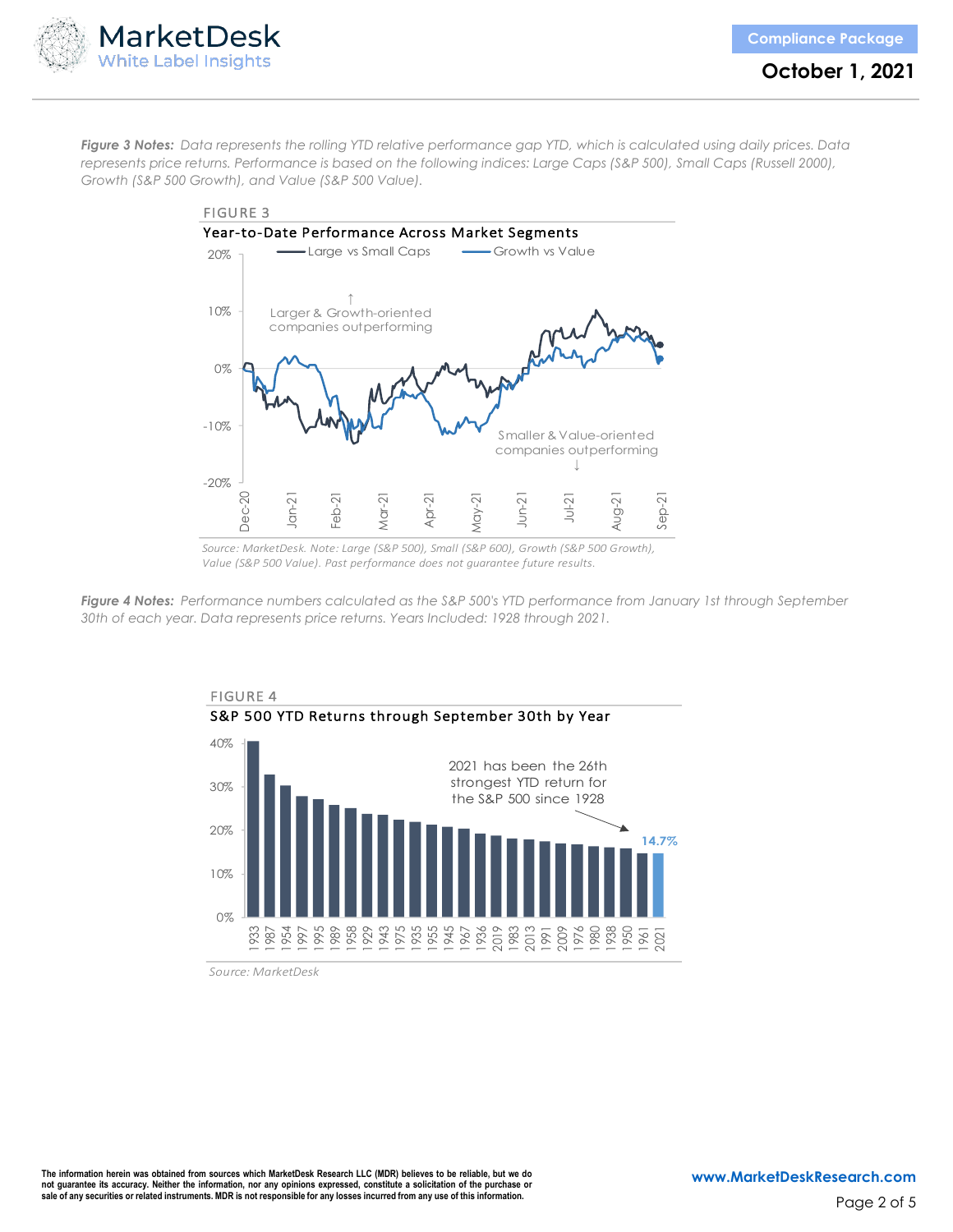



**October 1, 2021**

*Figure 3 Notes: Data represents the rolling YTD relative performance gap YTD, which is calculated using daily prices. Data represents price returns. Performance is based on the following indices: Large Caps (S&P 500), Small Caps (Russell 2000), Growth (S&P 500 Growth), and Value (S&P 500 Value).*



*Source: MarketDesk. Note: Large (S&P 500), Small (S&P 600), Growth (S&P 500 Growth), Value (S&P 500 Value). Past performance does not guarantee future results.*

*Figure 4 Notes: Performance numbers calculated as the S&P 500's YTD performance from January 1st through September 30th of each year. Data represents price returns. Years Included: 1928 through 2021.*



*Source: MarketDesk*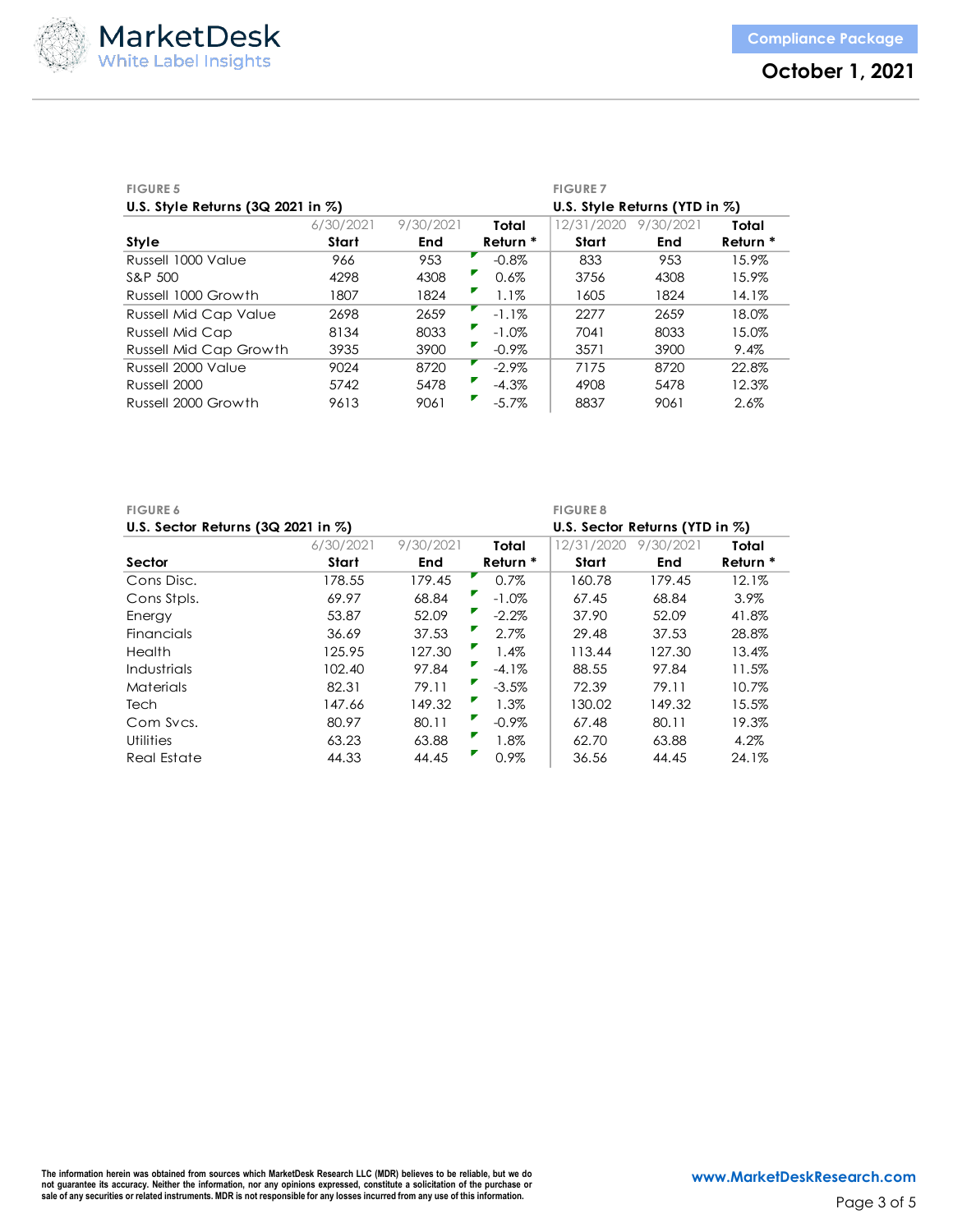

| <b>FIGURE 5</b>                        |           |           |          | <b>FIGURE 7</b>               |           |          |
|----------------------------------------|-----------|-----------|----------|-------------------------------|-----------|----------|
| U.S. Style Returns $(3Q 2021$ in $\%)$ |           |           |          | U.S. Style Returns (YTD in %) |           |          |
|                                        | 6/30/2021 | 9/30/2021 | Total    | 12/31/2020                    | 9/30/2021 | Total    |
| Style                                  | Start     | End       | Return * | Start                         | End       | Return * |
| Russell 1000 Value                     | 966       | 953       | $-0.8\%$ | 833                           | 953       | 15.9%    |
| S&P 500                                | 4298      | 4308      | 0.6%     | 3756                          | 4308      | 15.9%    |
| Russell 1000 Growth                    | 1807      | 1824      | $1.1\%$  | 1605                          | 1824      | 14.1%    |
| <b>Russell Mid Cap Value</b>           | 2698      | 2659      | $-1.1\%$ | 2277                          | 2659      | 18.0%    |
| <b>Russell Mid Cap</b>                 | 8134      | 8033      | $-1.0\%$ | 7041                          | 8033      | 15.0%    |
| <b>Russell Mid Cap Growth</b>          | 3935      | 3900      | $-0.9\%$ | 3571                          | 3900      | 9.4%     |
| Russell 2000 Value                     | 9024      | 8720      | $-2.9\%$ | 7175                          | 8720      | 22.8%    |
| Russell 2000                           | 5742      | 5478      | $-4.3%$  | 4908                          | 5478      | 12.3%    |
| Russell 2000 Growth                    | 9613      | 9061      | $-5.7\%$ | 8837                          | 9061      | 2.6%     |

| <b>FIGURE 6</b>                         |           |           |          | <b>FIGURE 8</b>                    |           |          |
|-----------------------------------------|-----------|-----------|----------|------------------------------------|-----------|----------|
| U.S. Sector Returns $(3Q 2021$ in $\%)$ |           |           |          | U.S. Sector Returns (YTD in $\%$ ) |           |          |
|                                         | 6/30/2021 | 9/30/2021 | Total    | 12/31/2020                         | 9/30/2021 | Total    |
| Sector                                  | Start     | End       | Return * | Start                              | End       | Return * |
| Cons Disc.                              | 178.55    | 179.45    | 0.7%     | 160.78                             | 179.45    | 12.1%    |
| Cons Stpls.                             | 69.97     | 68.84     | $-1.0\%$ | 67.45                              | 68.84     | $3.9\%$  |
| Energy                                  | 53.87     | 52.09     | $-2.2\%$ | 37.90                              | 52.09     | 41.8%    |
| Financials                              | 36.69     | 37.53     | 2.7%     | 29.48                              | 37.53     | 28.8%    |
| Health                                  | 125.95    | 127.30    | 1.4%     | 113.44                             | 127.30    | 13.4%    |
| <b>Industrials</b>                      | 102.40    | 97.84     | $-4.1\%$ | 88.55                              | 97.84     | 11.5%    |
| Materials                               | 82.31     | 79.11     | $-3.5%$  | 72.39                              | 79.11     | 10.7%    |
| Tech                                    | 147.66    | 149.32    | 1.3%     | 130.02                             | 149.32    | 15.5%    |
| Com Sycs.                               | 80.97     | 80.11     | $-0.9\%$ | 67.48                              | 80.11     | 19.3%    |
| <b>Utilities</b>                        | 63.23     | 63.88     | 1.8%     | 62.70                              | 63.88     | 4.2%     |
| Real Estate                             | 44.33     | 44.45     | 0.9%     | 36.56                              | 44.45     | 24.1%    |

The information herein was obtained from sources which MarketDesk Research LLC (MDR) believes to be reliable, but we do<br>not guarantee its accuracy. Neither the information, nor any opinions expressed, constitute a solicita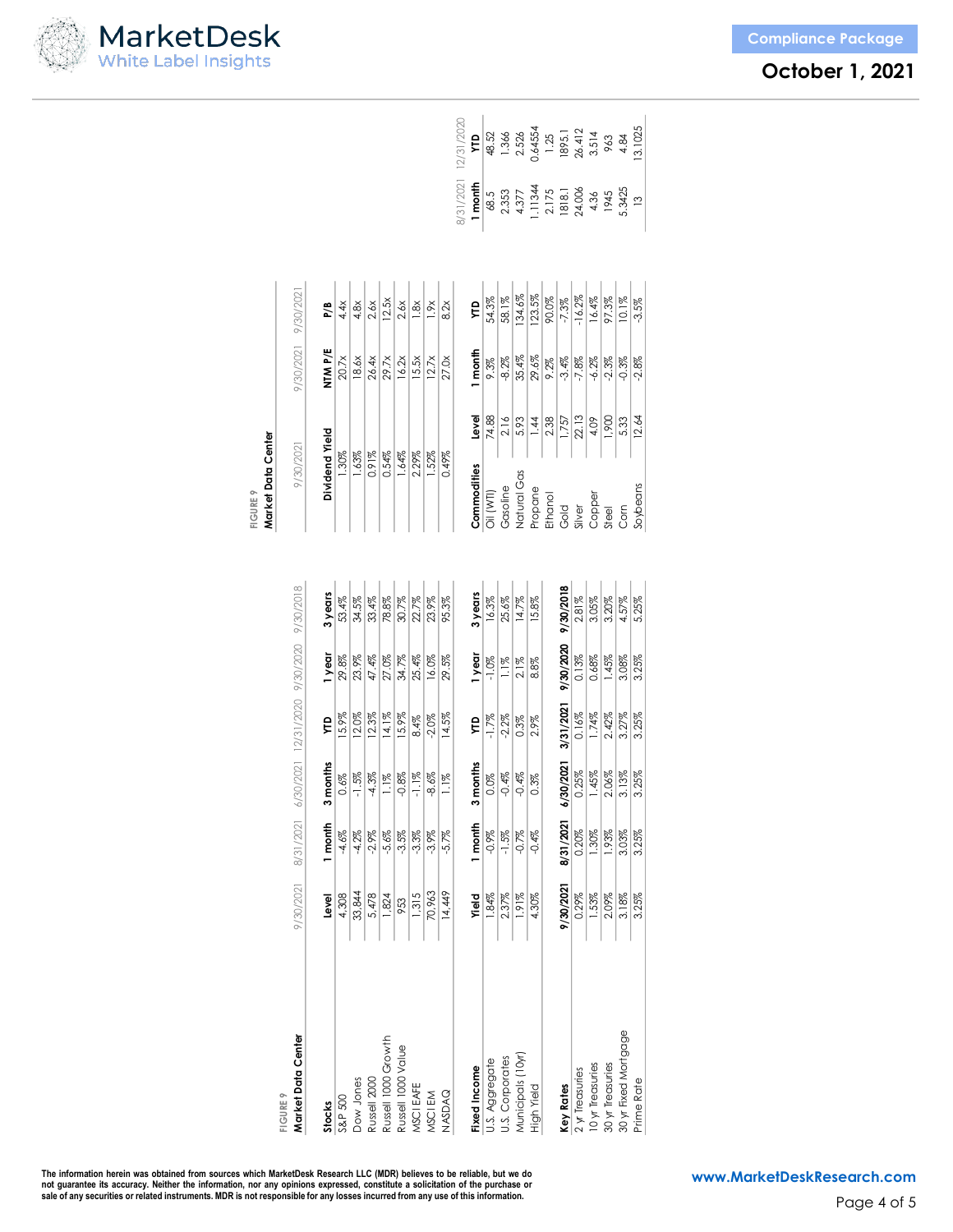| MarketDesk                  |  |
|-----------------------------|--|
| <b>White Label Insights</b> |  |

| <b>Compliance Package</b> |  |  |
|---------------------------|--|--|
|                           |  |  |

|                                          |           |           |           |                                          |                     |         | Market Data Center<br><b>FIGURE 9</b> |       |                   |               |                                              |                                                                                                   |
|------------------------------------------|-----------|-----------|-----------|------------------------------------------|---------------------|---------|---------------------------------------|-------|-------------------|---------------|----------------------------------------------|---------------------------------------------------------------------------------------------------|
| Market Data Center<br><b>FIGURE 9</b>    | 9/30/2021 | 8/31/2021 |           | 6/30/2021 12/31/2020 9/30/2020 9/30/2018 |                     |         | 9/30/2021                             |       | 9/30/2021         | 9/30/2021     |                                              |                                                                                                   |
|                                          |           |           |           |                                          |                     |         |                                       |       |                   |               |                                              |                                                                                                   |
| <b>Stocks</b>                            | Level     | 1 month   | 3 months  | Ê                                        | 1year               | 3 years | Dividend Yield                        |       | NTM P/E           | P/B           |                                              |                                                                                                   |
| S&P 500                                  | 4,308     | $-4.6%$   | 0.6%      | 15.9%                                    | 29.8%               | 53.4%   | 1.30%                                 |       | 20.7x             | 4.4x          |                                              |                                                                                                   |
| Dow Jones                                | 33,844    | $-4.2\%$  | $-1.5\%$  | 12.0%                                    | 23.9%               | 34.5%   | 1.63%                                 |       | 18.6x             | 4.8x          |                                              |                                                                                                   |
| Russell 2000                             | 5,478     | $-2.9\%$  | $-4.3\%$  | 12.3%                                    | 47.4%               | 33.4%   | 0.91%                                 |       | 26.4x             | 2.6x          |                                              |                                                                                                   |
| Russell 1000 Growth                      | 1,824     | $-5.6%$   | $1.1\%$   | 14.1%                                    | 27.0%               | 78.8%   | 0.54%                                 |       | 29.7x             | 12.5x         |                                              |                                                                                                   |
| Russell 1000 Value                       | 953       | $-3.5%$   | $-0.8%$   | 15.9%                                    | 34.7%               | 30.7%   | 1.64%                                 |       | 16.2x             | 2.6x          |                                              |                                                                                                   |
| MSCI EAFE                                | 1,315     | $-3.3%$   | $-1.1\%$  | 8.4%                                     | 25.4%               | 22.7%   | 2.29%                                 |       | 15.5 <sub>x</sub> | $\frac{8}{3}$ |                                              |                                                                                                   |
| MSCI EM                                  | 70,963    | $-3.9\%$  | $-8.6%$   | $-2.0%$                                  | 16.0%               | 23.9%   | 1.52%                                 |       | 12.7x             | $\frac{8}{1}$ |                                              |                                                                                                   |
| <b>NASDAQ</b>                            | 14,449    | $-5.7%$   | $1.1\%$   | 14.5%                                    | 29.5%               | 95.3%   | 0.49%                                 |       | 27.0x             | 8.2x          |                                              |                                                                                                   |
|                                          |           |           |           |                                          |                     |         |                                       |       |                   |               |                                              | 8/31/2021 12/31/2020                                                                              |
| Fixed Income                             | Yield     | I month   | 3 months  | ÇЦ                                       | 1year               | 3 years | Commodities                           | level | I month           | Ê             | 1 month                                      | ÇЦ                                                                                                |
| U.S. Aggregate                           | 1.84%     | $-0.9\%$  | 0.0%      | $-1.7%$                                  | $-1.0\%$            | 16.3%   | Oil (WTI)                             | 74.88 | 9.3%              | 54.3%         |                                              | 48.52                                                                                             |
| <b>U.S.</b> Corporates                   | 2.37%     | $-1.5\%$  | $-0.4\%$  | $-2.2\%$                                 | $1.1\%$             | 25.6%   | Gasoline                              | 2.16  | -8.2%             | 58.1%         | 68.5<br>2.353                                |                                                                                                   |
| Municipals (10yr)                        | 1.91%     | $-0.7%$   | $-0.4%$   | 0.3%                                     | $2.1\%$             | 14.7%   | Natural Gas                           | 5.93  | 35.4%             | 134.6%        | 4.377                                        |                                                                                                   |
| High Yield                               | 4.30%     | $-0.4%$   | $0.3\%$   | 2.9%                                     | 8.8%                | 15.8%   | Propane                               | 1.44  | 29.6%             | 123.5%        |                                              |                                                                                                   |
|                                          |           |           |           |                                          |                     |         | Ethanol                               | 2.38  | 9.2%              | 90.0%         |                                              |                                                                                                   |
| Key Rates                                | 9/30/2021 | 8/31/2021 | 6/30/2021 | 3/31/2021                                | 9/30/2020 9/30/2018 |         | Gold                                  | 1,757 | $-3.4\%$          | $-7.3\%$      | 1.11344<br>2.175<br>1818.1<br>24.006<br>4.36 | $\begin{array}{r} 1.366 \\ 2.526 \\ 2.64554 \\ 1.25 \\ 1895.1 \\ 26.412 \\ 26.412 \\ \end{array}$ |
| 2 yr Treasuries                          | 0.29%     | 0.20%     | 0.25%     | 0.16%                                    | 0.13%               | 2.81%   | Silver                                | 22.13 | $-7.8%$           | $-16.2\%$     |                                              |                                                                                                   |
| 10 yr Treasuries                         | 1.53%     | 1.30%     | 1.45%     | 1.74%                                    | 0.68%               | 3.05%   | Copper                                | 4.09  | $-6.2\%$          | 16.4%         |                                              |                                                                                                   |
| 30 yr Treasuries<br>30 yr Fixed Mortgage | 2.09%     | 1.93%     | 2.06%     | 2.42%                                    | 1.45%               | 3.20%   | Steel                                 | 1,900 | $-2.3\%$          | 97.3%         | 1945                                         | 963                                                                                               |
|                                          | 3.18%     | 3.03%     | 3.13%     | 3.27%                                    | 3.08%               | 4.57%   | Corn                                  | 5.33  | $-0.3%$           | 10.1%         | 5.3425                                       | 4.84                                                                                              |
| Prime Rate                               | 3.25%     | 3.25%     | 3.25%     | 3.25%                                    | 3.25%               | 5.25%   | Soybeans                              | 12.64 | $-2.8\%$          | $-3.5\%$      |                                              | 13.1025                                                                                           |
|                                          |           |           |           |                                          |                     |         |                                       |       |                   |               |                                              |                                                                                                   |

The information herein was obtained from sources which MarketDesk Research LLC (MDR) believes to be reliable, but we do<br>not guarantee its accuracy. Neither the information, nor any opinions expressed, constitute a solicita